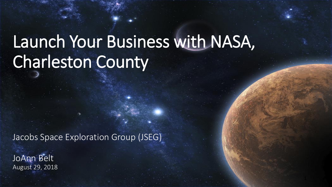# Launch Your Business with NASA, Charleston County

Jacobs Space Exploration Group (JSEG)

JoAnn Belt August 29, 2018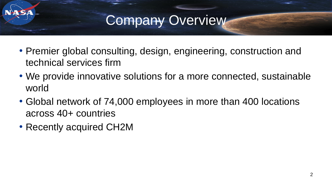## Company Overview

- Premier global consulting, design, engineering, construction and technical services firm
- We provide innovative solutions for a more connected, sustainable world
- Global network of 74,000 employees in more than 400 locations across 40+ countries
- Recently acquired CH2M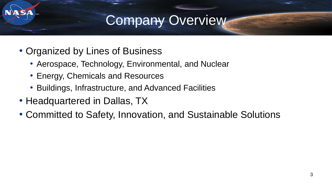### Company Overview

- Organized by Lines of Business
	- Aerospace, Technology, Environmental, and Nuclear
	- Energy, Chemicals and Resources
	- Buildings, Infrastructure, and Advanced Facilities
- Headquartered in Dallas, TX
- Committed to Safety, Innovation, and Sustainable Solutions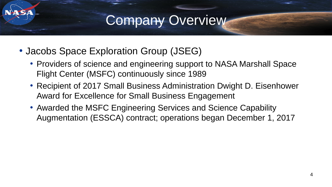### Company Overview

- Jacobs Space Exploration Group (JSEG)
	- Providers of science and engineering support to NASA Marshall Space Flight Center (MSFC) continuously since 1989
	- Recipient of 2017 Small Business Administration Dwight D. Eisenhower Award for Excellence for Small Business Engagement
	- Awarded the MSFC Engineering Services and Science Capability Augmentation (ESSCA) contract; operations began December 1, 2017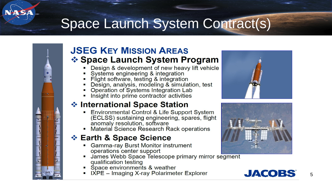### Space Launch System Contract(s)

#### **JSEG KEY MISSION AREAS** ❖ Space Launch System Program

- Design & development of new heavy lift vehicle
- Systems engineering & integration
- Flight software, testing & integration
- Design, analysis, modeling & simulation, test
- Operation of Systems Integration Lab
- Insight into prime contractor activities

#### ❖ International Space Station

- Environmental Control & Life Support System (ECLSS) sustaining engineering, spares, flight anomaly resolution, software
- Material Science Research Rack operations

#### ❖ Earth & Space Science

- Gamma-ray Burst Monitor instrument operations center support
- James Webb Space Telescope primary mirror segment qualification testing
- Space environments & weather
- IXPE Imaging X-ray Polarimeter Explorer





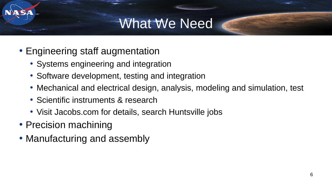### What We Need

- Engineering staff augmentation
	- Systems engineering and integration
	- Software development, testing and integration
	- Mechanical and electrical design, analysis, modeling and simulation, test
	- Scientific instruments & research
	- Visit Jacobs.com for details, search Huntsville jobs
- Precision machining
- Manufacturing and assembly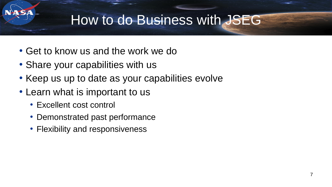### How to do Business with JSEG

- Get to know us and the work we do
- Share your capabilities with us
- Keep us up to date as your capabilities evolve
- Learn what is important to us
	- Excellent cost control
	- Demonstrated past performance
	- Flexibility and responsiveness